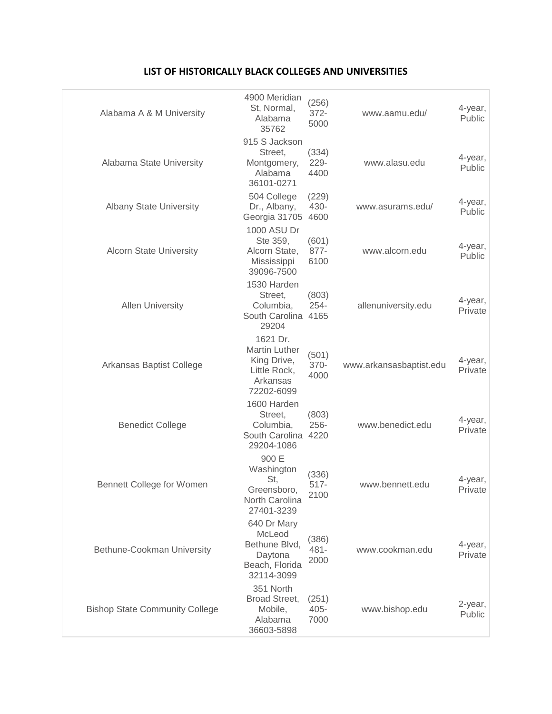| Alabama A & M University              | 4900 Meridian<br>St, Normal,<br>Alabama<br>35762                                          | (256)<br>$372 -$<br>5000 | www.aamu.edu/           | 4-year,<br>Public  |
|---------------------------------------|-------------------------------------------------------------------------------------------|--------------------------|-------------------------|--------------------|
| Alabama State University              | 915 S Jackson<br>Street,<br>Montgomery,<br>Alabama<br>36101-0271                          | (334)<br>229-<br>4400    | www.alasu.edu           | 4-year,<br>Public  |
| <b>Albany State University</b>        | 504 College<br>Dr., Albany,<br>Georgia 31705                                              | (229)<br>430-<br>4600    | www.asurams.edu/        | 4-year,<br>Public  |
| <b>Alcorn State University</b>        | 1000 ASU Dr<br>Ste 359,<br>Alcorn State,<br>Mississippi<br>39096-7500                     | (601)<br>877-<br>6100    | www.alcorn.edu          | 4-year,<br>Public  |
| <b>Allen University</b>               | 1530 Harden<br>Street,<br>Columbia,<br>South Carolina 4165<br>29204                       | (803)<br>$254 -$         | allenuniversity.edu     | 4-year,<br>Private |
| Arkansas Baptist College              | 1621 Dr.<br><b>Martin Luther</b><br>King Drive,<br>Little Rock,<br>Arkansas<br>72202-6099 | (501)<br>370-<br>4000    | www.arkansasbaptist.edu | 4-year,<br>Private |
| <b>Benedict College</b>               | 1600 Harden<br>Street,<br>Columbia,<br>South Carolina 4220<br>29204-1086                  | (803)<br>$256 -$         | www.benedict.edu        | 4-year,<br>Private |
| <b>Bennett College for Women</b>      | 900 E<br>Washington<br>St,<br>Greensboro,<br>North Carolina<br>27401-3239                 | (336)<br>$517 -$<br>2100 | www.bennett.edu         | 4-year,<br>Private |
| Bethune-Cookman University            | 640 Dr Mary<br>McLeod<br>Bethune Blvd,<br>Daytona<br>Beach, Florida<br>32114-3099         | (386)<br>$481 -$<br>2000 | www.cookman.edu         | 4-year,<br>Private |
| <b>Bishop State Community College</b> | 351 North<br>Broad Street,<br>Mobile,<br>Alabama<br>36603-5898                            | (251)<br>$405 -$<br>7000 | www.bishop.edu          | 2-year,<br>Public  |

## **LIST OF HISTORICALLY BLACK COLLEGES AND UNIVERSITIES**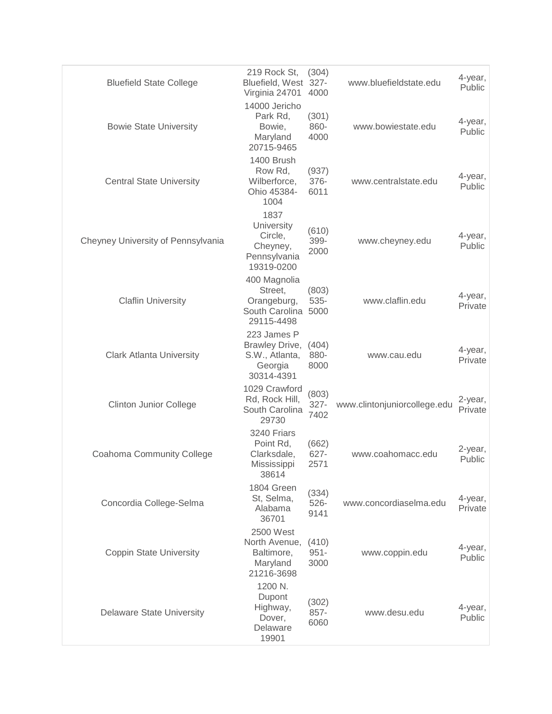| <b>Bluefield State College</b>     | 219 Rock St,<br>Bluefield, West 327-<br>Virginia 24701                   | (304)<br>4000            | www.bluefieldstate.edu       | 4-year,<br>Public  |
|------------------------------------|--------------------------------------------------------------------------|--------------------------|------------------------------|--------------------|
| <b>Bowie State University</b>      | 14000 Jericho<br>Park Rd,<br>Bowie,<br>Maryland<br>20715-9465            | (301)<br>860-<br>4000    | www.bowiestate.edu           | 4-year,<br>Public  |
| <b>Central State University</b>    | 1400 Brush<br>Row Rd,<br>Wilberforce,<br>Ohio 45384-<br>1004             | (937)<br>376-<br>6011    | www.centralstate.edu         | 4-year,<br>Public  |
| Cheyney University of Pennsylvania | 1837<br>University<br>Circle,<br>Cheyney,<br>Pennsylvania<br>19319-0200  | (610)<br>399-<br>2000    | www.cheyney.edu              | 4-year,<br>Public  |
| <b>Claflin University</b>          | 400 Magnolia<br>Street,<br>Orangeburg,<br>South Carolina<br>29115-4498   | (803)<br>535-<br>5000    | www.claflin.edu              | 4-year,<br>Private |
| <b>Clark Atlanta University</b>    | 223 James P<br>Brawley Drive,<br>S.W., Atlanta,<br>Georgia<br>30314-4391 | (404)<br>880-<br>8000    | www.cau.edu                  | 4-year,<br>Private |
| <b>Clinton Junior College</b>      | 1029 Crawford<br>Rd, Rock Hill,<br>South Carolina<br>29730               | (803)<br>$327 -$<br>7402 | www.clintonjuniorcollege.edu | 2-year,<br>Private |
| <b>Coahoma Community College</b>   | 3240 Friars<br>Point Rd,<br>Clarksdale,<br>Mississippi<br>38614          | (662)<br>627-<br>2571    | www.coahomacc.edu            | 2-year,<br>Public  |
| Concordia College-Selma            | 1804 Green<br>St, Selma,<br>Alabama<br>36701                             | (334)<br>$526 -$<br>9141 | www.concordiaselma.edu       | 4-year,<br>Private |
| <b>Coppin State University</b>     | 2500 West<br>North Avenue,<br>Baltimore,<br>Maryland<br>21216-3698       | (410)<br>$951 -$<br>3000 | www.coppin.edu               | 4-year,<br>Public  |
| <b>Delaware State University</b>   | 1200 N.<br>Dupont<br>Highway,<br>Dover,<br>Delaware<br>19901             | (302)<br>857-<br>6060    | www.desu.edu                 | 4-year,<br>Public  |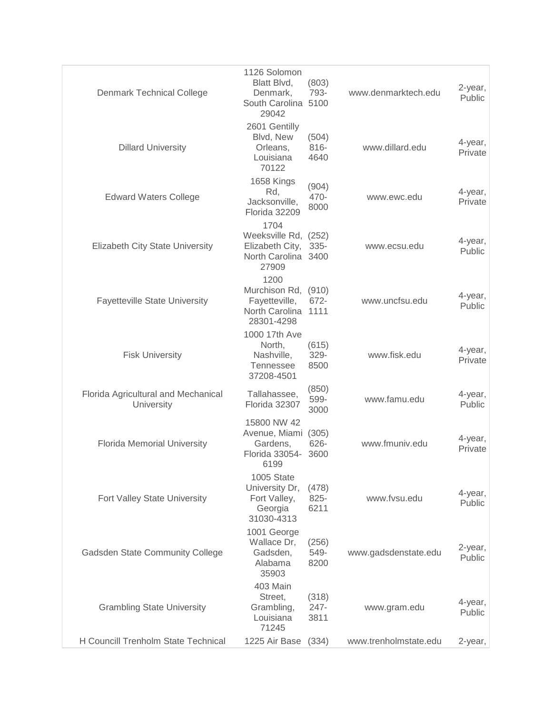| <b>Denmark Technical College</b>                  | 1126 Solomon<br>Blatt Blvd,<br>Denmark,<br>South Carolina 5100<br>29042           | (803)<br>793-            | www.denmarktech.edu   | 2-year,<br>Public  |
|---------------------------------------------------|-----------------------------------------------------------------------------------|--------------------------|-----------------------|--------------------|
| <b>Dillard University</b>                         | 2601 Gentilly<br>Blvd, New<br>Orleans,<br>Louisiana<br>70122                      | (504)<br>$816 -$<br>4640 | www.dillard.edu       | 4-year,<br>Private |
| <b>Edward Waters College</b>                      | 1658 Kings<br>Rd,<br>Jacksonville,<br>Florida 32209                               | (904)<br>470-<br>8000    | www.ewc.edu           | 4-year,<br>Private |
| <b>Elizabeth City State University</b>            | 1704<br>Weeksville Rd, (252)<br>Elizabeth City,<br>North Carolina 3400<br>27909   | $335 -$                  | www.ecsu.edu          | 4-year,<br>Public  |
| <b>Fayetteville State University</b>              | 1200<br>Murchison Rd, (910)<br>Fayetteville,<br>North Carolina 1111<br>28301-4298 | 672-                     | www.uncfsu.edu        | 4-year,<br>Public  |
| <b>Fisk University</b>                            | 1000 17th Ave<br>North,<br>Nashville,<br>Tennessee<br>37208-4501                  | (615)<br>329-<br>8500    | www.fisk.edu          | 4-year,<br>Private |
| Florida Agricultural and Mechanical<br>University | Tallahassee,<br>Florida 32307                                                     | (850)<br>599-<br>3000    | www.famu.edu          | 4-year,<br>Public  |
| <b>Florida Memorial University</b>                | 15800 NW 42<br>Avenue, Miami (305)<br>Gardens,<br>Florida 33054-<br>6199          | 626-<br>3600             | www.fmuniv.edu        | 4-year,<br>Private |
| Fort Valley State University                      | 1005 State<br>University Dr,<br>Fort Valley,<br>Georgia<br>31030-4313             | (478)<br>825-<br>6211    | www.fvsu.edu          | 4-year,<br>Public  |
| <b>Gadsden State Community College</b>            | 1001 George<br>Wallace Dr,<br>Gadsden,<br>Alabama<br>35903                        | (256)<br>549-<br>8200    | www.gadsdenstate.edu  | 2-year,<br>Public  |
| <b>Grambling State University</b>                 | 403 Main<br>Street,<br>Grambling,<br>Louisiana<br>71245                           | (318)<br>$247 -$<br>3811 | www.gram.edu          | 4-year,<br>Public  |
| H Councill Trenholm State Technical               | 1225 Air Base                                                                     | (334)                    | www.trenholmstate.edu | 2-year,            |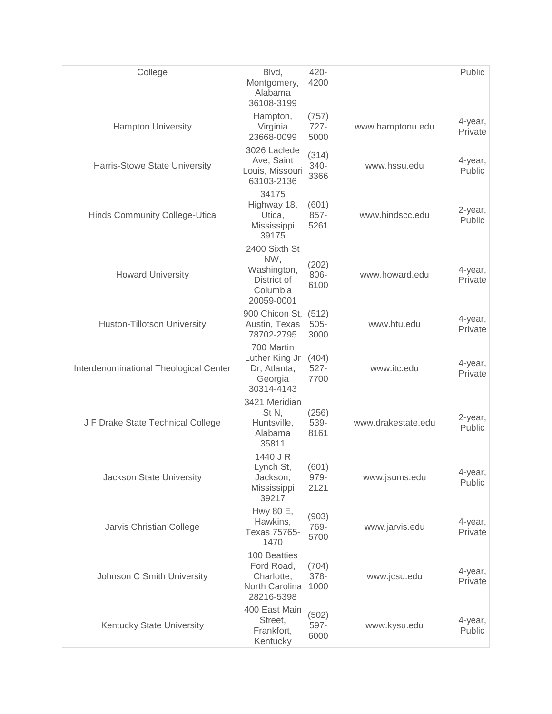| College                                | Blvd,<br>Montgomery,<br>Alabama<br>36108-3199                                | 420-<br>4200             |                    | Public             |
|----------------------------------------|------------------------------------------------------------------------------|--------------------------|--------------------|--------------------|
| <b>Hampton University</b>              | Hampton,<br>Virginia<br>23668-0099                                           | (757)<br>$727 -$<br>5000 | www.hamptonu.edu   | 4-year,<br>Private |
| Harris-Stowe State University          | 3026 Laclede<br>Ave, Saint<br>Louis, Missouri<br>63103-2136                  | (314)<br>340-<br>3366    | www.hssu.edu       | 4-year,<br>Public  |
| Hinds Community College-Utica          | 34175<br>Highway 18,<br>Utica,<br>Mississippi<br>39175                       | (601)<br>857-<br>5261    | www.hindscc.edu    | 2-year,<br>Public  |
| <b>Howard University</b>               | 2400 Sixth St<br>NW,<br>Washington,<br>District of<br>Columbia<br>20059-0001 | (202)<br>806-<br>6100    | www.howard.edu     | 4-year,<br>Private |
| <b>Huston-Tillotson University</b>     | 900 Chicon St,<br>Austin, Texas<br>78702-2795                                | (512)<br>$505 -$<br>3000 | www.htu.edu        | 4-year,<br>Private |
| Interdenominational Theological Center | 700 Martin<br>Luther King Jr<br>Dr, Atlanta,<br>Georgia<br>30314-4143        | (404)<br>$527 -$<br>7700 | www.itc.edu        | 4-year,<br>Private |
| J F Drake State Technical College      | 3421 Meridian<br>St N,<br>Huntsville,<br>Alabama<br>35811                    | (256)<br>539-<br>8161    | www.drakestate.edu | 2-year,<br>Public  |
| Jackson State University               | 1440 J R<br>Lynch St,<br>Jackson,<br>Mississippi<br>39217                    | (601)<br>979-<br>2121    | www.jsums.edu      | 4-year,<br>Public  |
| Jarvis Christian College               | Hwy 80 E,<br>Hawkins,<br>Texas 75765-<br>1470                                | (903)<br>769-<br>5700    | www.jarvis.edu     | 4-year,<br>Private |
| Johnson C Smith University             | 100 Beatties<br>Ford Road,<br>Charlotte,<br>North Carolina<br>28216-5398     | (704)<br>378-<br>1000    | www.jcsu.edu       | 4-year,<br>Private |
| Kentucky State University              | 400 East Main<br>Street,<br>Frankfort,<br>Kentucky                           | (502)<br>597-<br>6000    | www.kysu.edu       | 4-year,<br>Public  |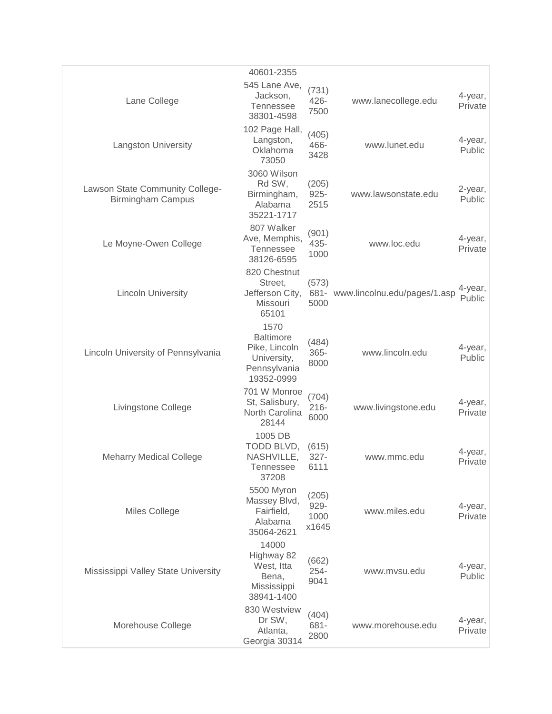|                                                             | 40601-2355                                                                             |                                |                                   |                    |
|-------------------------------------------------------------|----------------------------------------------------------------------------------------|--------------------------------|-----------------------------------|--------------------|
| Lane College                                                | 545 Lane Ave,<br>Jackson,<br><b>Tennessee</b><br>38301-4598                            | (731)<br>426-<br>7500          | www.lanecollege.edu               | 4-year,<br>Private |
| <b>Langston University</b>                                  | 102 Page Hall,<br>Langston,<br>Oklahoma<br>73050                                       | (405)<br>466-<br>3428          | www.lunet.edu                     | 4-year,<br>Public  |
| Lawson State Community College-<br><b>Birmingham Campus</b> | 3060 Wilson<br>Rd SW,<br>Birmingham,<br>Alabama<br>35221-1717                          | (205)<br>$925 -$<br>2515       | www.lawsonstate.edu               | 2-year,<br>Public  |
| Le Moyne-Owen College                                       | 807 Walker<br>Ave, Memphis,<br><b>Tennessee</b><br>38126-6595                          | (901)<br>435-<br>1000          | www.loc.edu                       | 4-year,<br>Private |
| <b>Lincoln University</b>                                   | 820 Chestnut<br>Street,<br>Jefferson City,<br>Missouri<br>65101                        | (573)<br>5000                  | 681- www.lincolnu.edu/pages/1.asp | 4-year,<br>Public  |
| Lincoln University of Pennsylvania                          | 1570<br><b>Baltimore</b><br>Pike, Lincoln<br>University,<br>Pennsylvania<br>19352-0999 | (484)<br>$365 -$<br>8000       | www.lincoln.edu                   | 4-year,<br>Public  |
| Livingstone College                                         | 701 W Monroe<br>St, Salisbury,<br>North Carolina<br>28144                              | (704)<br>$216 -$<br>6000       | www.livingstone.edu               | 4-year,<br>Private |
| <b>Meharry Medical College</b>                              | 1005 DB<br>TODD BLVD,<br>NASHVILLE,<br>Tennessee<br>37208                              | (615)<br>$327 -$<br>6111       | www.mmc.edu                       | 4-year,<br>Private |
| <b>Miles College</b>                                        | 5500 Myron<br>Massey Blvd,<br>Fairfield,<br>Alabama<br>35064-2621                      | (205)<br>929-<br>1000<br>x1645 | www.miles.edu                     | 4-year,<br>Private |
| Mississippi Valley State University                         | 14000<br>Highway 82<br>West, Itta<br>Bena,<br>Mississippi<br>38941-1400                | (662)<br>254-<br>9041          | www.mvsu.edu                      | 4-year,<br>Public  |
| Morehouse College                                           | 830 Westview<br>Dr SW,<br>Atlanta,<br>Georgia 30314                                    | (404)<br>681-<br>2800          | www.morehouse.edu                 | 4-year,<br>Private |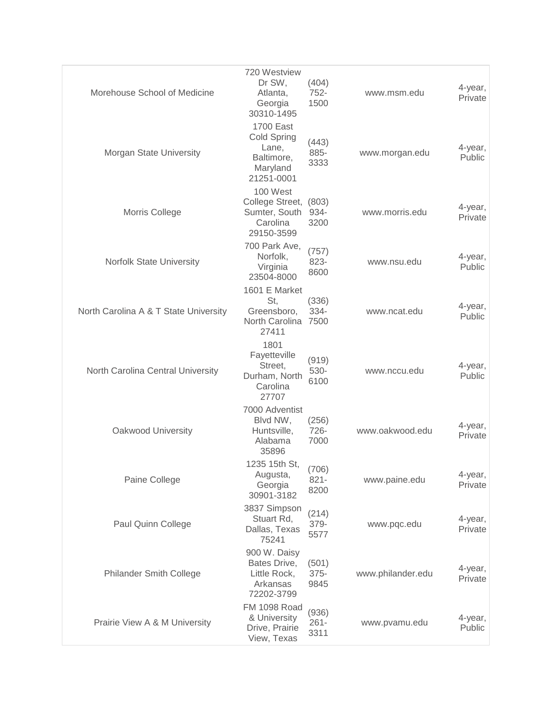| Morehouse School of Medicine          | 720 Westview<br>Dr SW,<br>Atlanta,<br>Georgia<br>30310-1495                      | (404)<br>752-<br>1500    | www.msm.edu       | 4-year,<br>Private |
|---------------------------------------|----------------------------------------------------------------------------------|--------------------------|-------------------|--------------------|
| Morgan State University               | <b>1700 East</b><br>Cold Spring<br>Lane,<br>Baltimore,<br>Maryland<br>21251-0001 | (443)<br>885-<br>3333    | www.morgan.edu    | 4-year,<br>Public  |
| Morris College                        | 100 West<br>College Street, (803)<br>Sumter, South<br>Carolina<br>29150-3599     | 934-<br>3200             | www.morris.edu    | 4-year,<br>Private |
| Norfolk State University              | 700 Park Ave,<br>Norfolk,<br>Virginia<br>23504-8000                              | (757)<br>823-<br>8600    | www.nsu.edu       | 4-year,<br>Public  |
| North Carolina A & T State University | 1601 E Market<br>St,<br>Greensboro,<br>North Carolina<br>27411                   | (336)<br>334-<br>7500    | www.ncat.edu      | 4-year,<br>Public  |
| North Carolina Central University     | 1801<br>Fayetteville<br>Street,<br>Durham, North<br>Carolina<br>27707            | (919)<br>530-<br>6100    | www.nccu.edu      | 4-year,<br>Public  |
| Oakwood University                    | 7000 Adventist<br>Blvd NW,<br>Huntsville,<br>Alabama<br>35896                    | (256)<br>726-<br>7000    | www.oakwood.edu   | 4-year,<br>Private |
| Paine College                         | 1235 15th St, (706)<br>Augusta,<br>Georgia<br>30901-3182                         | $821 -$<br>8200          | www.paine.edu     | 4-year,<br>Private |
| Paul Quinn College                    | 3837 Simpson<br>Stuart Rd,<br>Dallas, Texas<br>75241                             | (214)<br>379-<br>5577    | www.pqc.edu       | 4-year,<br>Private |
| <b>Philander Smith College</b>        | 900 W. Daisy<br>Bates Drive,<br>Little Rock,<br>Arkansas<br>72202-3799           | (501)<br>$375 -$<br>9845 | www.philander.edu | 4-year,<br>Private |
| Prairie View A & M University         | <b>FM 1098 Road</b><br>& University<br>Drive, Prairie<br>View, Texas             | (936)<br>$261 -$<br>3311 | www.pvamu.edu     | 4-year,<br>Public  |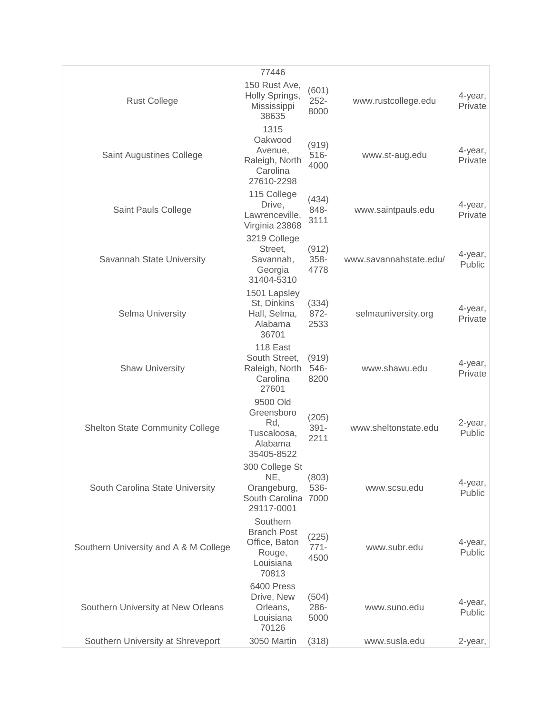|                                        | 77446                                                                           |                          |                        |                    |
|----------------------------------------|---------------------------------------------------------------------------------|--------------------------|------------------------|--------------------|
| <b>Rust College</b>                    | 150 Rust Ave,<br>Holly Springs,<br>Mississippi<br>38635                         | (601)<br>$252 -$<br>8000 | www.rustcollege.edu    | 4-year,<br>Private |
| Saint Augustines College               | 1315<br>Oakwood<br>Avenue,<br>Raleigh, North<br>Carolina<br>27610-2298          | (919)<br>$516 -$<br>4000 | www.st-aug.edu         | 4-year,<br>Private |
| Saint Pauls College                    | 115 College<br>Drive,<br>Lawrenceville,<br>Virginia 23868                       | (434)<br>848-<br>3111    | www.saintpauls.edu     | 4-year,<br>Private |
| Savannah State University              | 3219 College<br>Street,<br>Savannah,<br>Georgia<br>31404-5310                   | (912)<br>358-<br>4778    | www.savannahstate.edu/ | 4-year,<br>Public  |
| Selma University                       | 1501 Lapsley<br>St, Dinkins<br>Hall, Selma,<br>Alabama<br>36701                 | (334)<br>872-<br>2533    | selmauniversity.org    | 4-year,<br>Private |
| <b>Shaw University</b>                 | 118 East<br>South Street,<br>Raleigh, North<br>Carolina<br>27601                | (919)<br>546-<br>8200    | www.shawu.edu          | 4-year,<br>Private |
| <b>Shelton State Community College</b> | 9500 Old<br>Greensboro<br>Rd,<br>Tuscaloosa,<br>Alabama<br>35405-8522           | (205)<br>$391 -$<br>2211 | www.sheltonstate.edu   | 2-year,<br>Public  |
| South Carolina State University        | 300 College St<br>NE,<br>Orangeburg,<br>South Carolina 7000<br>29117-0001       | (803)<br>536-            | www.scsu.edu           | 4-year,<br>Public  |
| Southern University and A & M College  | Southern<br><b>Branch Post</b><br>Office, Baton<br>Rouge,<br>Louisiana<br>70813 | (225)<br>$771 -$<br>4500 | www.subr.edu           | 4-year,<br>Public  |
| Southern University at New Orleans     | 6400 Press<br>Drive, New<br>Orleans,<br>Louisiana<br>70126                      | (504)<br>286-<br>5000    | www.suno.edu           | 4-year,<br>Public  |
| Southern University at Shreveport      | 3050 Martin                                                                     | (318)                    | www.susla.edu          | 2-year,            |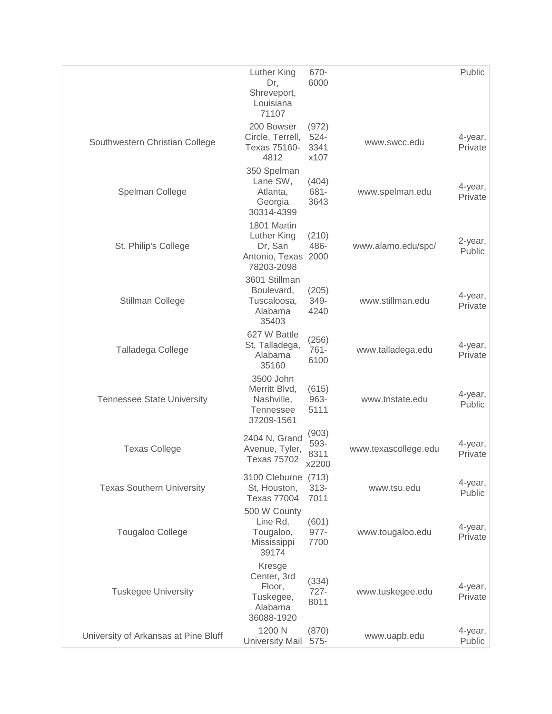|                                      | Luther King<br>Dr,<br>Shreveport,<br>Louisiana<br>71107                    | 670-<br>6000                     |                      | Public             |
|--------------------------------------|----------------------------------------------------------------------------|----------------------------------|----------------------|--------------------|
| Southwestern Christian College       | 200 Bowser<br>Circle, Terrell,<br>Texas 75160-<br>4812                     | (972)<br>$524 -$<br>3341<br>x107 | www.swcc.edu         | 4-year,<br>Private |
| Spelman College                      | 350 Spelman<br>Lane SW,<br>Atlanta,<br>Georgia<br>30314-4399               | (404)<br>681-<br>3643            | www.spelman.edu      | 4-year,<br>Private |
| St. Philip's College                 | 1801 Martin<br>Luther King<br>Dr, San<br>Antonio, Texas<br>78203-2098      | (210)<br>486-<br>2000            | www.alamo.edu/spc/   | 2-year,<br>Public  |
| Stillman College                     | 3601 Stillman<br>Boulevard,<br>Tuscaloosa,<br>Alabama<br>35403             | (205)<br>349-<br>4240            | www.stillman.edu     | 4-year,<br>Private |
| Talladega College                    | 627 W Battle<br>St, Talladega,<br>Alabama<br>35160                         | (256)<br>$761 -$<br>6100         | www.talladega.edu    | 4-year,<br>Private |
| <b>Tennessee State University</b>    | 3500 John<br>Merritt Blvd,<br>Nashville,<br><b>Tennessee</b><br>37209-1561 | (615)<br>963-<br>5111            | www.tnstate.edu      | 4-year,<br>Public  |
| <b>Texas College</b>                 | 2404 N. Grand<br>Avenue, Tyler,<br><b>Texas 75702</b>                      | (903)<br>593-<br>8311<br>x2200   | www.texascollege.edu | 4-year,<br>Private |
| <b>Texas Southern University</b>     | 3100 Cleburne<br>St, Houston,<br><b>Texas 77004</b>                        | (713)<br>$313 -$<br>7011         | www.tsu.edu          | 4-year,<br>Public  |
| <b>Tougaloo College</b>              | 500 W County<br>Line Rd,<br>Tougaloo,<br>Mississippi<br>39174              | (601)<br>$977 -$<br>7700         | www.tougaloo.edu     | 4-year,<br>Private |
| <b>Tuskegee University</b>           | Kresge<br>Center, 3rd<br>Floor,<br>Tuskegee,<br>Alabama<br>36088-1920      | (334)<br>$727 -$<br>8011         | www.tuskegee.edu     | 4-year,<br>Private |
| University of Arkansas at Pine Bluff | 1200 N<br><b>University Mail</b>                                           | (870)<br>$575 -$                 | www.uapb.edu         | 4-year,<br>Public  |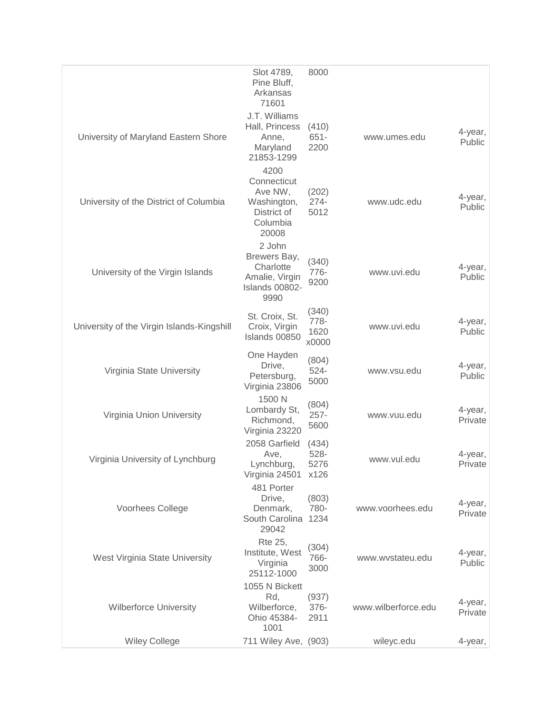|                                            | Slot 4789,<br>Pine Bluff,<br>Arkansas<br>71601                                    | 8000                           |                     |                    |
|--------------------------------------------|-----------------------------------------------------------------------------------|--------------------------------|---------------------|--------------------|
| University of Maryland Eastern Shore       | J.T. Williams<br>Hall, Princess<br>Anne,<br>Maryland<br>21853-1299                | (410)<br>$651 -$<br>2200       | www.umes.edu        | 4-year,<br>Public  |
| University of the District of Columbia     | 4200<br>Connecticut<br>Ave NW,<br>Washington,<br>District of<br>Columbia<br>20008 | (202)<br>$274 -$<br>5012       | www.udc.edu         | 4-year,<br>Public  |
| University of the Virgin Islands           | 2 John<br>Brewers Bay,<br>Charlotte<br>Amalie, Virgin<br>Islands 00802-<br>9990   | (340)<br>776-<br>9200          | www.uvi.edu         | 4-year,<br>Public  |
| University of the Virgin Islands-Kingshill | St. Croix, St.<br>Croix, Virgin<br>Islands 00850                                  | (340)<br>778-<br>1620<br>x0000 | www.uvi.edu         | 4-year,<br>Public  |
| Virginia State University                  | One Hayden<br>Drive,<br>Petersburg,<br>Virginia 23806                             | (804)<br>$524 -$<br>5000       | www.vsu.edu         | 4-year,<br>Public  |
| Virginia Union University                  | 1500 N<br>Lombardy St,<br>Richmond,<br>Virginia 23220                             | (804)<br>$257 -$<br>5600       | www.vuu.edu         | 4-year,<br>Private |
| Virginia University of Lynchburg           | 2058 Garfield<br>Ave,<br>Lynchburg,<br>Virginia 24501                             | (434)<br>528-<br>5276<br>x126  | www.vul.edu         | 4-year,<br>Private |
| Voorhees College                           | 481 Porter<br>Drive.<br>Denmark,<br>South Carolina<br>29042                       | (803)<br>780-<br>1234          | www.voorhees.edu    | 4-year,<br>Private |
| West Virginia State University             | <b>Rte 25,</b><br>Institute, West<br>Virginia<br>25112-1000                       | (304)<br>766-<br>3000          | www.wystateu.edu    | 4-year,<br>Public  |
| <b>Wilberforce University</b>              | 1055 N Bickett<br>Rd,<br>Wilberforce,<br>Ohio 45384-<br>1001                      | (937)<br>376-<br>2911          | www.wilberforce.edu | 4-year,<br>Private |
| <b>Wiley College</b>                       | 711 Wiley Ave, (903)                                                              |                                | wileyc.edu          | 4-year,            |